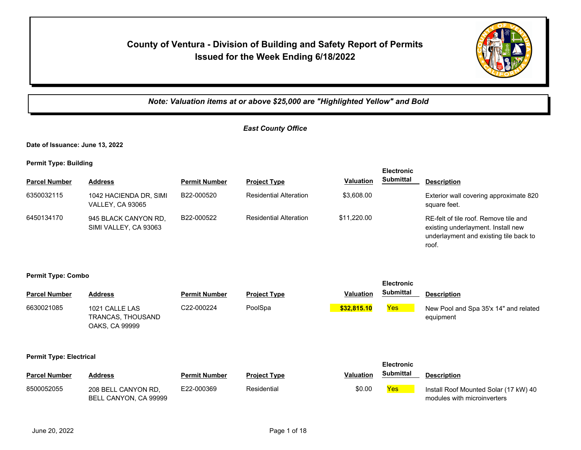## **County of Ventura - Division of Building and Safety Report of Permits Issued for the Week Ending 6/18/2022**



*Note: Valuation items at or above \$25,000 are "Highlighted Yellow" and Bold*

## *East County Office*

**Date of Issuance: June 13, 2022**

**Permit Type: Building**

| <b>Parcel Number</b> | <b>Address</b>                                    | <b>Permit Number</b> | <b>Project Type</b>           | <b>Valuation</b> | <b>Electronic</b><br><b>Submittal</b> | <b>Description</b>                                                                                                             |
|----------------------|---------------------------------------------------|----------------------|-------------------------------|------------------|---------------------------------------|--------------------------------------------------------------------------------------------------------------------------------|
| 6350032115           | 1042 HACIENDA DR, SIMI<br><b>VALLEY, CA 93065</b> | B22-000520           | <b>Residential Alteration</b> | \$3,608.00       |                                       | Exterior wall covering approximate 820<br>square feet.                                                                         |
| 6450134170           | 945 BLACK CANYON RD.<br>SIMI VALLEY, CA 93063     | B22-000522           | <b>Residential Alteration</b> | \$11.220.00      |                                       | RE-felt of tile roof. Remove tile and<br>existing underlayment. Install new<br>underlayment and existing tile back to<br>roof. |

**Permit Type: Combo**

| <b>Parcel Number</b>           | <b>Address</b>                                        | <b>Permit Number</b> | <b>Project Type</b> | <b>Valuation</b> | <b>Electronic</b><br><b>Submittal</b> | <b>Description</b>                                                   |
|--------------------------------|-------------------------------------------------------|----------------------|---------------------|------------------|---------------------------------------|----------------------------------------------------------------------|
| 6630021085                     | 1021 CALLE LAS<br>TRANCAS, THOUSAND<br>OAKS, CA 99999 | C22-000224           | PoolSpa             | \$32,815.10      | Yes <sub>l</sub>                      | New Pool and Spa 35'x 14" and related<br>equipment                   |
| <b>Permit Type: Electrical</b> |                                                       |                      |                     |                  | <b>Electronic</b>                     |                                                                      |
| <b>Parcel Number</b>           | <b>Address</b>                                        | <b>Permit Number</b> | <b>Project Type</b> | <b>Valuation</b> | <b>Submittal</b>                      | <b>Description</b>                                                   |
| 8500052055                     | 208 BELL CANYON RD,<br>BELL CANYON, CA 99999          | E22-000369           | Residential         | \$0.00           | <b>Yes</b>                            | Install Roof Mounted Solar (17 kW) 40<br>modules with microinverters |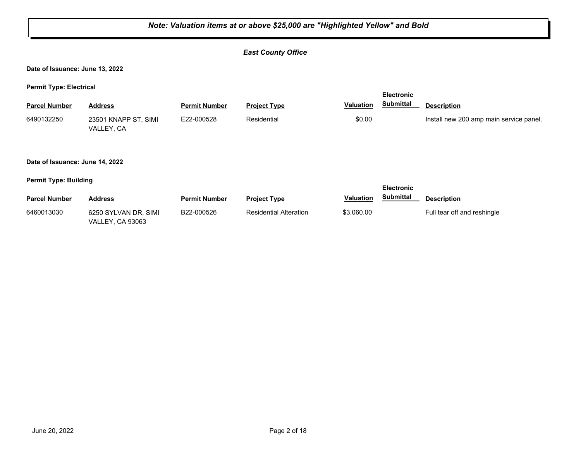#### *East County Office*

**Date of Issuance: June 13, 2022**

**Permit Type: Electrical**

|                      |                                    |                      |                     |           | <b>Electronic</b> |                                         |  |
|----------------------|------------------------------------|----------------------|---------------------|-----------|-------------------|-----------------------------------------|--|
| <b>Parcel Number</b> | <b>Address</b>                     | <b>Permit Number</b> | <b>Project Type</b> | Valuation | <b>Submittal</b>  | <b>Description</b>                      |  |
| 6490132250           | 23501 KNAPP ST, SIMI<br>VALLEY, CA | E22-000528           | Residential         | \$0.00    |                   | Install new 200 amp main service panel. |  |

#### **Date of Issuance: June 14, 2022**

|                      |                                                 |                      |                        |                  | <b>Electronic</b> |                             |
|----------------------|-------------------------------------------------|----------------------|------------------------|------------------|-------------------|-----------------------------|
| <b>Parcel Number</b> | <b>Address</b>                                  | <b>Permit Number</b> | <b>Project Type</b>    | <b>Valuation</b> | Submittal         | <b>Description</b>          |
| 6460013030           | 6250 SYLVAN DR, SIMI<br><b>VALLEY, CA 93063</b> | B22-000526           | Residential Alteration | \$3.060.00       |                   | Full tear off and reshingle |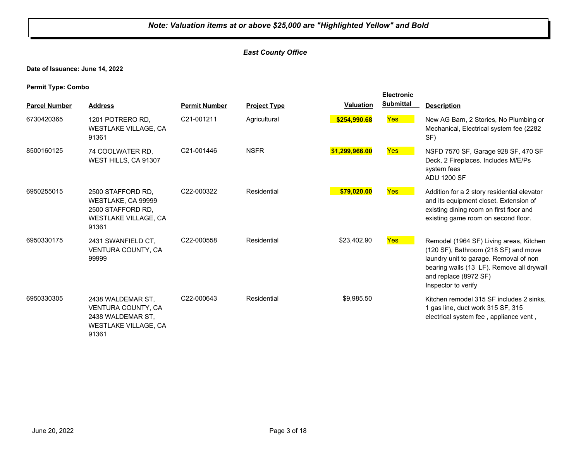#### *East County Office*

**Date of Issuance: June 14, 2022**

**Permit Type: Combo**

| <b>Parcel Number</b> | <b>Address</b>                                                                                       | <b>Permit Number</b> | <b>Project Type</b> | <b>Valuation</b> | <b>Electronic</b><br><b>Submittal</b> | <b>Description</b>                                                                                                                                                                                                     |
|----------------------|------------------------------------------------------------------------------------------------------|----------------------|---------------------|------------------|---------------------------------------|------------------------------------------------------------------------------------------------------------------------------------------------------------------------------------------------------------------------|
| 6730420365           | 1201 POTRERO RD,<br><b>WESTLAKE VILLAGE, CA</b><br>91361                                             | C21-001211           | Agricultural        | \$254,990.68     | <b>Yes</b>                            | New AG Barn, 2 Stories, No Plumbing or<br>Mechanical, Electrical system fee (2282)<br>SF)                                                                                                                              |
| 8500160125           | 74 COOLWATER RD,<br>WEST HILLS, CA 91307                                                             | C21-001446           | <b>NSFR</b>         | \$1,299,966.00   | <b>Yes</b>                            | NSFD 7570 SF, Garage 928 SF, 470 SF<br>Deck, 2 Fireplaces. Includes M/E/Ps<br>system fees<br><b>ADU 1200 SF</b>                                                                                                        |
| 6950255015           | 2500 STAFFORD RD,<br>WESTLAKE, CA 99999<br>2500 STAFFORD RD,<br><b>WESTLAKE VILLAGE, CA</b><br>91361 | C22-000322           | Residential         | \$79,020.00      | Yes                                   | Addition for a 2 story residential elevator<br>and its equipment closet. Extension of<br>existing dining room on first floor and<br>existing game room on second floor.                                                |
| 6950330175           | 2431 SWANFIELD CT,<br>VENTURA COUNTY, CA<br>99999                                                    | C22-000558           | Residential         | \$23,402.90      | <b>Yes</b>                            | Remodel (1964 SF) Living areas, Kitchen<br>(120 SF), Bathroom (218 SF) and move<br>laundry unit to garage. Removal of non<br>bearing walls (13 LF). Remove all drywall<br>and replace (8972 SF)<br>Inspector to verify |
| 6950330305           | 2438 WALDEMAR ST.<br>VENTURA COUNTY, CA<br>2438 WALDEMAR ST,<br><b>WESTLAKE VILLAGE, CA</b><br>91361 | C22-000643           | Residential         | \$9,985.50       |                                       | Kitchen remodel 315 SF includes 2 sinks.<br>1 gas line, duct work 315 SF, 315<br>electrical system fee, appliance vent,                                                                                                |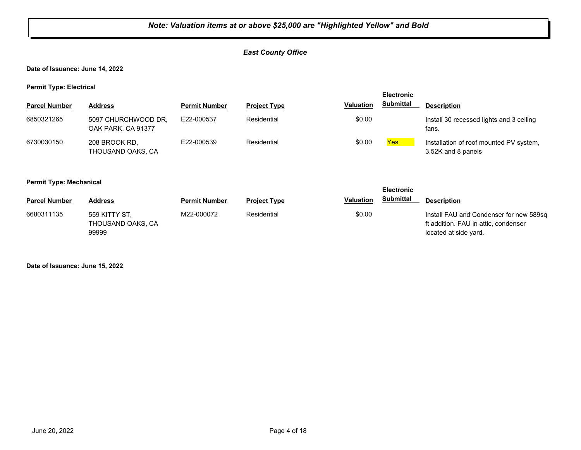#### *East County Office*

**Date of Issuance: June 14, 2022**

**Permit Type: Electrical**

| --                   |                                           |                      |                     |                  | <b>Electronic</b> |                                                               |
|----------------------|-------------------------------------------|----------------------|---------------------|------------------|-------------------|---------------------------------------------------------------|
| <b>Parcel Number</b> | <b>Address</b>                            | <b>Permit Number</b> | <b>Project Type</b> | <b>Valuation</b> | <b>Submittal</b>  | <b>Description</b>                                            |
| 6850321265           | 5097 CHURCHWOOD DR.<br>OAK PARK, CA 91377 | E22-000537           | Residential         | \$0.00           |                   | Install 30 recessed lights and 3 ceiling<br>fans.             |
| 6730030150           | 208 BROOK RD.<br>THOUSAND OAKS, CA        | E22-000539           | Residential         | \$0.00           | <b>Yes</b>        | Installation of roof mounted PV system,<br>3.52K and 8 panels |

#### **Permit Type: Mechanical**

| --                   |                                             |                      |                     |                  | <b>Electronic</b> |                                                                                                          |
|----------------------|---------------------------------------------|----------------------|---------------------|------------------|-------------------|----------------------------------------------------------------------------------------------------------|
| <b>Parcel Number</b> | Address                                     | <b>Permit Number</b> | <b>Project Type</b> | <b>Valuation</b> | <b>Submittal</b>  | <b>Description</b>                                                                                       |
| 6680311135           | 559 KITTY ST.<br>THOUSAND OAKS, CA<br>99999 | M22-000072           | Residential         | \$0.00           |                   | Install FAU and Condenser for new 589sq<br>ft addition. FAU in attic, condenser<br>located at side yard. |

**Date of Issuance: June 15, 2022**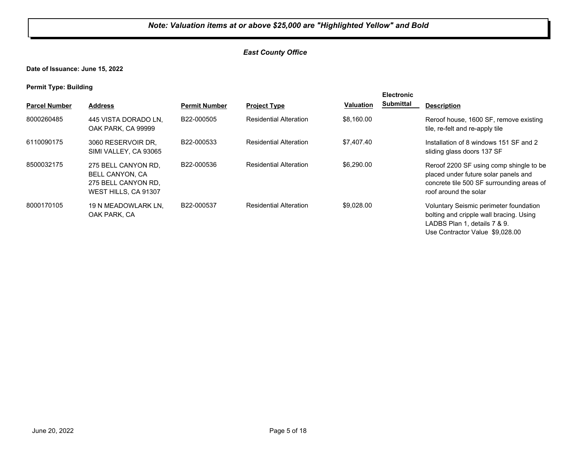#### *East County Office*

**Date of Issuance: June 15, 2022**

| <b>Parcel Number</b> | <b>Address</b>                                                                               | <b>Permit Number</b> | <b>Project Type</b>           | <b>Valuation</b> | <b>Electronic</b><br><b>Submittal</b> | <b>Description</b>                                                                                                                                    |
|----------------------|----------------------------------------------------------------------------------------------|----------------------|-------------------------------|------------------|---------------------------------------|-------------------------------------------------------------------------------------------------------------------------------------------------------|
| 8000260485           | 445 VISTA DORADO LN.<br>OAK PARK, CA 99999                                                   | B22-000505           | <b>Residential Alteration</b> | \$8,160.00       |                                       | Reroof house, 1600 SF, remove existing<br>tile, re-felt and re-apply tile                                                                             |
| 6110090175           | 3060 RESERVOIR DR.<br>SIMI VALLEY, CA 93065                                                  | B22-000533           | <b>Residential Alteration</b> | \$7,407.40       |                                       | Installation of 8 windows 151 SF and 2<br>sliding glass doors 137 SF                                                                                  |
| 8500032175           | 275 BELL CANYON RD.<br><b>BELL CANYON, CA</b><br>275 BELL CANYON RD.<br>WEST HILLS, CA 91307 | B22-000536           | <b>Residential Alteration</b> | \$6,290,00       |                                       | Reroof 2200 SF using comp shingle to be<br>placed under future solar panels and<br>concrete tile 500 SF surrounding areas of<br>roof around the solar |
| 8000170105           | 19 N MEADOWLARK LN.<br>OAK PARK, CA                                                          | B22-000537           | <b>Residential Alteration</b> | \$9,028.00       |                                       | Voluntary Seismic perimeter foundation<br>bolting and cripple wall bracing. Using<br>LADBS Plan 1, details 7 & 9.<br>Use Contractor Value \$9,028.00  |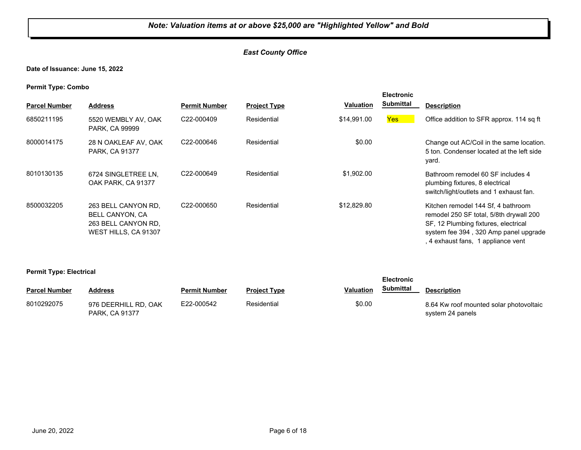#### *East County Office*

**Date of Issuance: June 15, 2022**

**Permit Type: Combo**

| . .<br><b>Parcel Number</b> | <b>Address</b>                                                                               | <b>Permit Number</b>    | <b>Project Type</b> | <b>Valuation</b> | <b>Electronic</b><br><b>Submittal</b> | <b>Description</b>                                                                                                                                                                                   |
|-----------------------------|----------------------------------------------------------------------------------------------|-------------------------|---------------------|------------------|---------------------------------------|------------------------------------------------------------------------------------------------------------------------------------------------------------------------------------------------------|
| 6850211195                  | 5520 WEMBLY AV, OAK<br>PARK, CA 99999                                                        | C22-000409              | Residential         | \$14,991.00      | Yes <sup>1</sup>                      | Office addition to SFR approx. 114 sq ft                                                                                                                                                             |
| 8000014175                  | 28 N OAKLEAF AV, OAK<br>PARK, CA 91377                                                       | C <sub>22</sub> -000646 | Residential         | \$0.00           |                                       | Change out AC/Coil in the same location.<br>5 ton. Condenser located at the left side<br>yard.                                                                                                       |
| 8010130135                  | 6724 SINGLETREE LN,<br>OAK PARK, CA 91377                                                    | C22-000649              | Residential         | \$1,902.00       |                                       | Bathroom remodel 60 SF includes 4<br>plumbing fixtures, 8 electrical<br>switch/light/outlets and 1 exhaust fan.                                                                                      |
| 8500032205                  | 263 BELL CANYON RD.<br><b>BELL CANYON, CA</b><br>263 BELL CANYON RD.<br>WEST HILLS, CA 91307 | C22-000650              | Residential         | \$12,829.80      |                                       | Kitchen remodel 144 Sf, 4 bathroom<br>remodel 250 SF total, 5/8th drywall 200<br>SF, 12 Plumbing fixtures, electrical<br>system fee 394, 320 Amp panel upgrade<br>, 4 exhaust fans, 1 appliance vent |

**Permit Type: Electrical**

|                      |                                               |                      |                     |           | <b>Electronic</b> |                                                             |
|----------------------|-----------------------------------------------|----------------------|---------------------|-----------|-------------------|-------------------------------------------------------------|
| <b>Parcel Number</b> | <b>Address</b>                                | <b>Permit Number</b> | <b>Project Type</b> | Valuation | Submittal         | <b>Description</b>                                          |
| 8010292075           | 976 DEERHILL RD, OAK<br><b>PARK, CA 91377</b> | E22-000542           | Residential         | \$0.00    |                   | 8.64 Kw roof mounted solar photovoltaic<br>system 24 panels |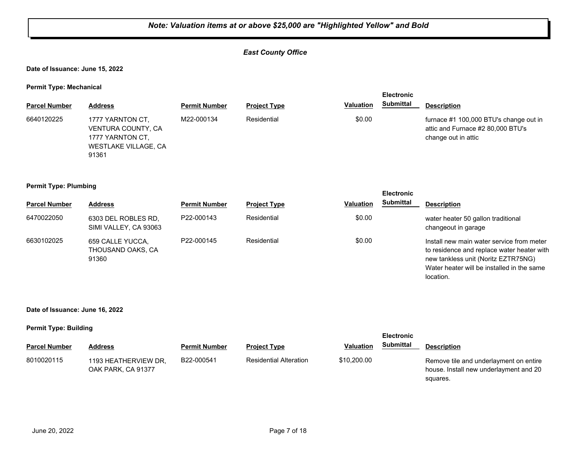#### *East County Office*

**Date of Issuance: June 15, 2022**

**Permit Type: Mechanical**

|                      |                                                                                             |                      |                     |                  | <b>Electronic</b> |                                                                                                    |
|----------------------|---------------------------------------------------------------------------------------------|----------------------|---------------------|------------------|-------------------|----------------------------------------------------------------------------------------------------|
| <b>Parcel Number</b> | <b>Address</b>                                                                              | <b>Permit Number</b> | <b>Project Type</b> | <b>Valuation</b> | <b>Submittal</b>  | <b>Description</b>                                                                                 |
| 6640120225           | 1777 YARNTON CT.<br>VENTURA COUNTY, CA<br>1777 YARNTON CT.<br>WESTLAKE VILLAGE, CA<br>91361 | M22-000134           | Residential         | \$0.00           |                   | furnace #1 100,000 BTU's change out in<br>attic and Furnace #2 80,000 BTU's<br>change out in attic |

#### **Permit Type: Plumbing**

|                      |                                                |                      |                     |                  | <b>Electronic</b> |                                                                                                                                                                                           |
|----------------------|------------------------------------------------|----------------------|---------------------|------------------|-------------------|-------------------------------------------------------------------------------------------------------------------------------------------------------------------------------------------|
| <b>Parcel Number</b> | <b>Address</b>                                 | <b>Permit Number</b> | <b>Project Type</b> | <b>Valuation</b> | <b>Submittal</b>  | <b>Description</b>                                                                                                                                                                        |
| 6470022050           | 6303 DEL ROBLES RD,<br>SIMI VALLEY, CA 93063   | P22-000143           | Residential         | \$0.00           |                   | water heater 50 gallon traditional<br>changeout in garage                                                                                                                                 |
| 6630102025           | 659 CALLE YUCCA,<br>THOUSAND OAKS, CA<br>91360 | P22-000145           | Residential         | \$0.00           |                   | Install new main water service from meter<br>to residence and replace water heater with<br>new tankless unit (Noritz EZTR75NG)<br>Water heater will be installed in the same<br>location. |

**Date of Issuance: June 16, 2022**

| . .                  |                                            |                      |                               |                  | <b>Electronic</b> |                                                                                              |
|----------------------|--------------------------------------------|----------------------|-------------------------------|------------------|-------------------|----------------------------------------------------------------------------------------------|
| <b>Parcel Number</b> | Address                                    | <b>Permit Number</b> | <b>Project Type</b>           | <b>Valuation</b> | <b>Submittal</b>  | <b>Description</b>                                                                           |
| 8010020115           | 1193 HEATHERVIEW DR,<br>OAK PARK, CA 91377 | B22-000541           | <b>Residential Alteration</b> | \$10,200.00      |                   | Remove tile and underlayment on entire<br>house. Install new underlayment and 20<br>squares. |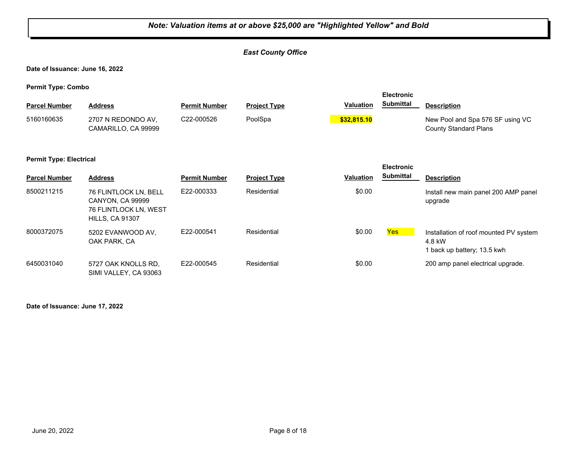|                                 |                                                                                              |                      | Note: Valuation items at or above \$25,000 are "Highlighted Yellow" and Bold |                  |                   |                                                                                 |
|---------------------------------|----------------------------------------------------------------------------------------------|----------------------|------------------------------------------------------------------------------|------------------|-------------------|---------------------------------------------------------------------------------|
|                                 |                                                                                              |                      | <b>East County Office</b>                                                    |                  |                   |                                                                                 |
| Date of Issuance: June 16, 2022 |                                                                                              |                      |                                                                              |                  |                   |                                                                                 |
| <b>Permit Type: Combo</b>       |                                                                                              |                      |                                                                              |                  | <b>Electronic</b> |                                                                                 |
| <b>Parcel Number</b>            | <b>Address</b>                                                                               | <b>Permit Number</b> | <b>Project Type</b>                                                          | <b>Valuation</b> | <b>Submittal</b>  | <b>Description</b>                                                              |
| 5160160635                      | 2707 N REDONDO AV.<br>CAMARILLO, CA 99999                                                    | C22-000526           | PoolSpa                                                                      | \$32,815.10      |                   | New Pool and Spa 576 SF using VC<br><b>County Standard Plans</b>                |
| <b>Permit Type: Electrical</b>  |                                                                                              |                      |                                                                              |                  | <b>Electronic</b> |                                                                                 |
| <b>Parcel Number</b>            | <b>Address</b>                                                                               | <b>Permit Number</b> | <b>Project Type</b>                                                          | <b>Valuation</b> | <b>Submittal</b>  | <b>Description</b>                                                              |
| 8500211215                      | 76 FLINTLOCK LN, BELL<br>CANYON, CA 99999<br>76 FLINTLOCK LN, WEST<br><b>HILLS, CA 91307</b> | E22-000333           | Residential                                                                  | \$0.00           |                   | Install new main panel 200 AMP panel<br>upgrade                                 |
| 8000372075                      | 5202 EVANWOOD AV,<br>OAK PARK, CA                                                            | E22-000541           | Residential                                                                  | \$0.00           | <b>Yes</b>        | Installation of roof mounted PV system<br>4.8 kW<br>1 back up battery; 13.5 kwh |
| 6450031040                      | 5727 OAK KNOLLS RD,<br>SIMI VALLEY, CA 93063                                                 | E22-000545           | Residential                                                                  | \$0.00           |                   | 200 amp panel electrical upgrade.                                               |

**Date of Issuance: June 17, 2022**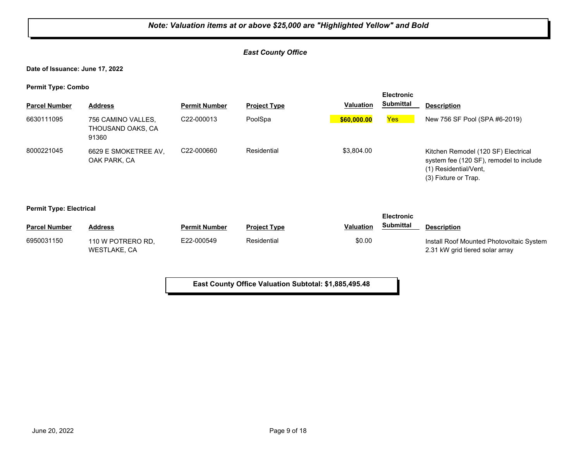#### *East County Office*

**Date of Issuance: June 17, 2022**

**Permit Type: Combo**

|                                |                                                  |                         |                     |                  | <b>Electronic</b> |                                                                                                                                 |
|--------------------------------|--------------------------------------------------|-------------------------|---------------------|------------------|-------------------|---------------------------------------------------------------------------------------------------------------------------------|
| <b>Parcel Number</b>           | <b>Address</b>                                   | <b>Permit Number</b>    | <b>Project Type</b> | <b>Valuation</b> | <b>Submittal</b>  | <b>Description</b>                                                                                                              |
| 6630111095                     | 756 CAMINO VALLES,<br>THOUSAND OAKS, CA<br>91360 | C22-000013              | PoolSpa             | \$60,000.00      | <b>Yes</b>        | New 756 SF Pool (SPA #6-2019)                                                                                                   |
| 8000221045                     | 6629 E SMOKETREE AV.<br>OAK PARK, CA             | C <sub>22</sub> -000660 | Residential         | \$3,804.00       |                   | Kitchen Remodel (120 SF) Electrical<br>system fee (120 SF), remodel to include<br>(1) Residential/Vent,<br>(3) Fixture or Trap. |
| <b>Permit Type: Electrical</b> |                                                  |                         |                     |                  | <b>Electronic</b> |                                                                                                                                 |
| <b>Parcel Number</b>           | <b>Address</b>                                   | <b>Permit Number</b>    | <b>Project Type</b> | <b>Valuation</b> | <b>Submittal</b>  | <b>Description</b>                                                                                                              |
| 6950031150                     | 110 W POTRERO RD.<br>WESTLAKE, CA                | E22-000549              | Residential         | \$0.00           |                   | Install Roof Mounted Photovoltaic System<br>2.31 kW grid tiered solar array                                                     |

**East County Office Valuation Subtotal: \$1,885,495.48**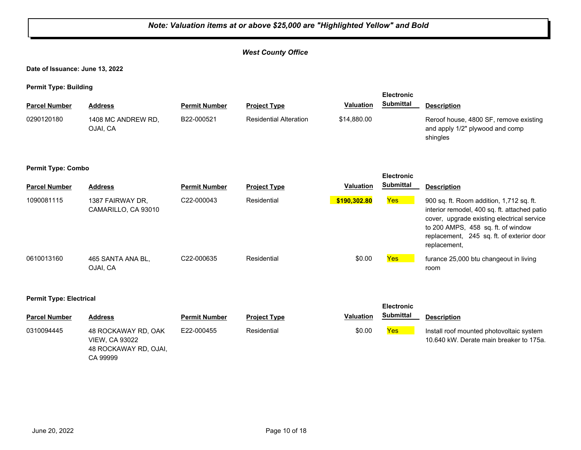#### *Note: Valuation items at or above \$25,000 are "Highlighted Yellow" and Bold West County Office* **Date of Issuance: June 13, 2022 Permit Type: Building Parcel Number Address <b>Permit Number Project Type Valuation Submittal Description Electronic Submittal** 1408 MC ANDREW RD, OJAI, CA B22-000521 Residential Alteration \$14,880.00 Reroof house, 4800 SF, remove existing and apply 1/2" plywood and comp shingles 0290120180 **Permit Type: Combo Parcel Number Address <b>Permit Number Project Type Valuation Submittal** Description **Electronic Submittal** 1090081115 1387 FAIRWAY DR, C22-000043 Residential <mark> \$190,302.80 Yes</mark> CAMARILLO, CA 93010 C22-000043 Residential **\$190,302.80** 900 sq. ft. Room addition, 1,712 sq. ft. interior remodel, 400 sq. ft. attached patio cover, upgrade existing electrical service to 200 AMPS, 458 sq. ft. of window replacement, 245 sq. ft. of exterior door replacement, 0610013160 465 SANTA ANA BL, C22-000635 Residential \$0.00 <mark>Yes</mark> OJAI, CA C22-000635 Residential **Residential Residential** \$0.00 **Yes** furance 25,000 btu changeout in living room **Permit Type: Electrical Parcel Number Address Permit Number Project Type Valuation Description Electronic Submittal** 0310094445 48 ROCKAWAY RD, OAK E22-000455 Residential \$0.00 <mark>Yes</mark> VIEW, CA 93022 48 ROCKAWAY RD, OJAI, E22-000455 Residential **Residential Residential** \$0.00 **Yes** Install roof mounted photovoltaic system 10.640 kW. Derate main breaker to 175a.

CA 99999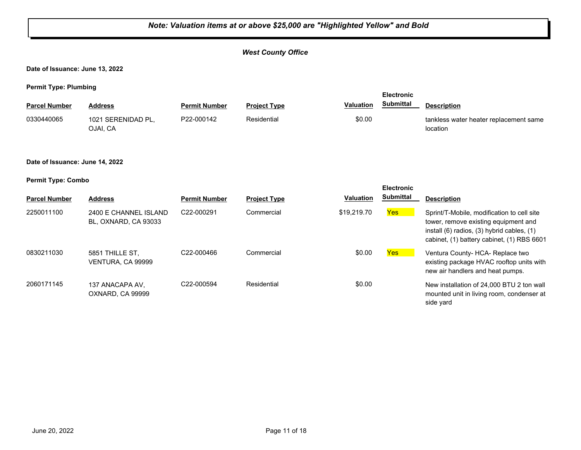#### *West County Office*

**Date of Issuance: June 13, 2022**

**Permit Type: Plumbing**

| $\cdots$             |                                |                      |                     |                  | <b>Electronic</b> |                                                    |
|----------------------|--------------------------------|----------------------|---------------------|------------------|-------------------|----------------------------------------------------|
| <b>Parcel Number</b> | Address                        | <b>Permit Number</b> | <b>Project Type</b> | <b>Valuation</b> | <b>Submittal</b>  | <b>Description</b>                                 |
| 0330440065           | 1021 SERENIDAD PL,<br>OJAI, CA | P22-000142           | Residential         | \$0.00           |                   | tankless water heater replacement same<br>location |

#### **Date of Issuance: June 14, 2022**

| <b>Permit Type: Combo</b> |  |
|---------------------------|--|
|---------------------------|--|

| <b>Parcel Number</b> | <b>Address</b>                                | <b>Permit Number</b> | <b>Project Type</b> | <b>Valuation</b> | <b>Electronic</b><br><b>Submittal</b> | <b>Description</b>                                                                                                                                                             |
|----------------------|-----------------------------------------------|----------------------|---------------------|------------------|---------------------------------------|--------------------------------------------------------------------------------------------------------------------------------------------------------------------------------|
| 2250011100           | 2400 E CHANNEL ISLAND<br>BL. OXNARD. CA 93033 | C22-000291           | Commercial          | \$19,219.70      | Yes                                   | Sprint/T-Mobile, modification to cell site<br>tower, remove existing equipment and<br>install (6) radios, (3) hybrid cables, (1)<br>cabinet, (1) battery cabinet, (1) RBS 6601 |
| 0830211030           | 5851 THILLE ST.<br>VENTURA, CA 99999          | C22-000466           | Commercial          | \$0.00           | Yes                                   | Ventura County- HCA- Replace two<br>existing package HVAC rooftop units with<br>new air handlers and heat pumps.                                                               |
| 2060171145           | 137 ANACAPA AV.<br>OXNARD, CA 99999           | C22-000594           | Residential         | \$0.00           |                                       | New installation of 24,000 BTU 2 ton wall<br>mounted unit in living room, condenser at<br>side yard                                                                            |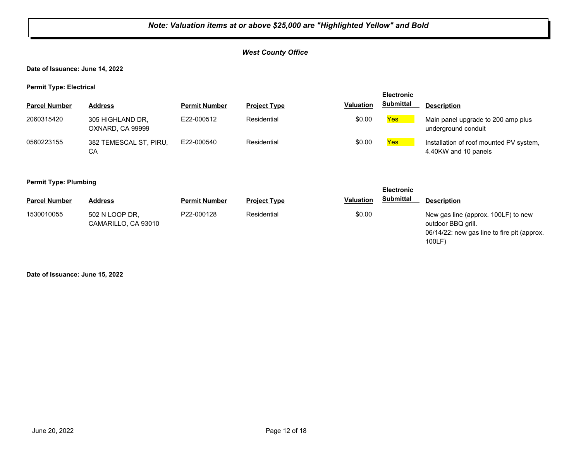#### *West County Office*

**Date of Issuance: June 14, 2022**

**Permit Type: Electrical**

|                      |                                      |                      |                     |                  | <b>Electronic</b> |                                                                 |
|----------------------|--------------------------------------|----------------------|---------------------|------------------|-------------------|-----------------------------------------------------------------|
| <b>Parcel Number</b> | <b>Address</b>                       | <b>Permit Number</b> | <b>Project Type</b> | <b>Valuation</b> | <b>Submittal</b>  | <b>Description</b>                                              |
| 2060315420           | 305 HIGHLAND DR,<br>OXNARD, CA 99999 | E22-000512           | Residential         | \$0.00           | Yes               | Main panel upgrade to 200 amp plus<br>underground conduit       |
| 0560223155           | 382 TEMESCAL ST, PIRU,<br>CА         | E22-000540           | Residential         | \$0.00           | Yes               | Installation of roof mounted PV system,<br>4.40KW and 10 panels |

#### **Permit Type: Plumbing**

| --                   |                                       |                      |                     | <b>Electronic</b><br><b>Submittal</b> |                                                                                                                   |
|----------------------|---------------------------------------|----------------------|---------------------|---------------------------------------|-------------------------------------------------------------------------------------------------------------------|
| <b>Parcel Number</b> | <b>Address</b>                        | <b>Permit Number</b> | <b>Project Type</b> | <b>Valuation</b>                      | <b>Description</b>                                                                                                |
| 1530010055           | 502 N LOOP DR,<br>CAMARILLO, CA 93010 | P22-000128           | Residential         | \$0.00                                | New gas line (approx. 100LF) to new<br>outdoor BBQ grill.<br>06/14/22: new gas line to fire pit (approx.<br>100LF |

**Date of Issuance: June 15, 2022**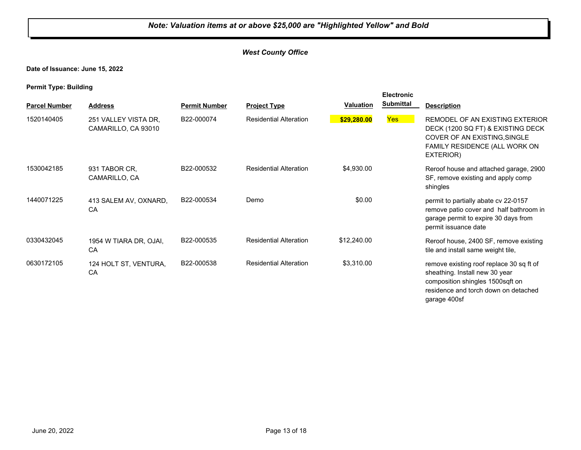#### *West County Office*

**Date of Issuance: June 15, 2022**

**Permit Type: Building**

|                      |                                             |                      |                               |                  | <b>Electronic</b> |                                                                                                                                                                        |
|----------------------|---------------------------------------------|----------------------|-------------------------------|------------------|-------------------|------------------------------------------------------------------------------------------------------------------------------------------------------------------------|
| <b>Parcel Number</b> | <b>Address</b>                              | <b>Permit Number</b> | <b>Project Type</b>           | <b>Valuation</b> | <b>Submittal</b>  | <b>Description</b>                                                                                                                                                     |
| 1520140405           | 251 VALLEY VISTA DR,<br>CAMARILLO, CA 93010 | B22-000074           | <b>Residential Alteration</b> | \$29,280.00      | <b>Yes</b>        | REMODEL OF AN EXISTING EXTERIOR<br>DECK (1200 SQ FT) & EXISTING DECK<br>COVER OF AN EXISTING, SINGLE<br>FAMILY RESIDENCE (ALL WORK ON<br>EXTERIOR)                     |
| 1530042185           | 931 TABOR CR,<br>CAMARILLO, CA              | B22-000532           | <b>Residential Alteration</b> | \$4,930.00       |                   | Reroof house and attached garage, 2900<br>SF, remove existing and apply comp<br>shingles                                                                               |
| 1440071225           | 413 SALEM AV, OXNARD,<br>CA                 | B22-000534           | Demo                          | \$0.00           |                   | permit to partially abate cv 22-0157<br>remove patio cover and half bathroom in<br>garage permit to expire 30 days from<br>permit issuance date                        |
| 0330432045           | 1954 W TIARA DR, OJAI,<br>CA                | B22-000535           | <b>Residential Alteration</b> | \$12,240.00      |                   | Reroof house, 2400 SF, remove existing<br>tile and install same weight tile,                                                                                           |
| 0630172105           | 124 HOLT ST, VENTURA,<br>CA                 | B22-000538           | <b>Residential Alteration</b> | \$3,310.00       |                   | remove existing roof replace 30 sq ft of<br>sheathing. Install new 30 year<br>composition shingles 1500sqft on<br>residence and torch down on detached<br>garage 400sf |

June 20, 2022 **Page 13 of 18**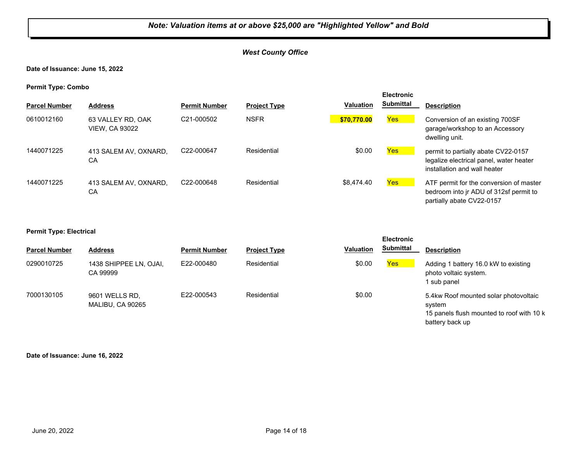#### *West County Office*

**Date of Issuance: June 15, 2022**

**Permit Type: Combo**

|                      |                                            |                         |                     |                  | <b>Electronic</b> |                                                                                                                |
|----------------------|--------------------------------------------|-------------------------|---------------------|------------------|-------------------|----------------------------------------------------------------------------------------------------------------|
| <b>Parcel Number</b> | <b>Address</b>                             | <b>Permit Number</b>    | <b>Project Type</b> | <b>Valuation</b> | <b>Submittal</b>  | <b>Description</b>                                                                                             |
| 0610012160           | 63 VALLEY RD, OAK<br><b>VIEW, CA 93022</b> | C <sub>21</sub> -000502 | <b>NSFR</b>         | \$70,770.00      | Yes               | Conversion of an existing 700SF<br>garage/workshop to an Accessory<br>dwelling unit.                           |
| 1440071225           | 413 SALEM AV, OXNARD,<br>CA                | C22-000647              | Residential         | \$0.00           | Yes               | permit to partially abate CV22-0157<br>legalize electrical panel, water heater<br>installation and wall heater |
| 1440071225           | 413 SALEM AV, OXNARD,<br>CА                | C22-000648              | Residential         | \$8.474.40       | Yes               | ATF permit for the conversion of master<br>bedroom into jr ADU of 312sf permit to<br>partially abate CV22-0157 |

#### **Permit Type: Electrical**

|                      |                                    |                      |                     |                  | <b>Electronic</b> |                                                                                                                 |
|----------------------|------------------------------------|----------------------|---------------------|------------------|-------------------|-----------------------------------------------------------------------------------------------------------------|
| <b>Parcel Number</b> | <b>Address</b>                     | <b>Permit Number</b> | <b>Project Type</b> | <b>Valuation</b> | <b>Submittal</b>  | <b>Description</b>                                                                                              |
| 0290010725           | 1438 SHIPPEE LN, OJAI,<br>CA 99999 | E22-000480           | Residential         | \$0.00           | Yes               | Adding 1 battery 16.0 kW to existing<br>photo voltaic system.<br>I sub panel                                    |
| 7000130105           | 9601 WELLS RD,<br>MALIBU, CA 90265 | E22-000543           | Residential         | \$0.00           |                   | 5.4kw Roof mounted solar photovoltaic<br>svstem<br>15 panels flush mounted to roof with 10 k<br>battery back up |

**Date of Issuance: June 16, 2022**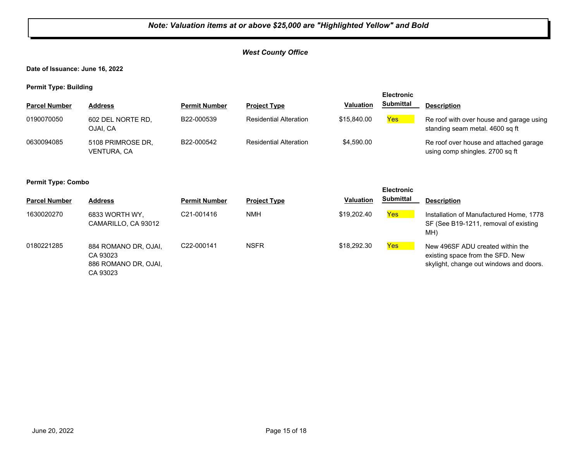#### *West County Office*

**Date of Issuance: June 16, 2022**

**Permit Type: Building**

|                      |                                         |                      |                               |                  | <b>Electronic</b> |                                                                             |
|----------------------|-----------------------------------------|----------------------|-------------------------------|------------------|-------------------|-----------------------------------------------------------------------------|
| <b>Parcel Number</b> | <b>Address</b>                          | <b>Permit Number</b> | <b>Project Type</b>           | <b>Valuation</b> | <b>Submittal</b>  | <b>Description</b>                                                          |
| 0190070050           | 602 DEL NORTE RD,<br>OJAI. CA           | B22-000539           | <b>Residential Alteration</b> | \$15,840,00      | <b>Yes</b>        | Re roof with over house and garage using<br>standing seam metal. 4600 sq ft |
| 0630094085           | 5108 PRIMROSE DR,<br><b>VENTURA, CA</b> | B22-000542           | <b>Residential Alteration</b> | \$4,590.00       |                   | Re roof over house and attached garage<br>using comp shingles. 2700 sq ft   |

#### **Permit Type: Combo**

|                      |                                                                      |                         |                     |                  | <b>Electronic</b> |                                                                                                                 |
|----------------------|----------------------------------------------------------------------|-------------------------|---------------------|------------------|-------------------|-----------------------------------------------------------------------------------------------------------------|
| <b>Parcel Number</b> | <b>Address</b>                                                       | <b>Permit Number</b>    | <b>Project Type</b> | <b>Valuation</b> | <b>Submittal</b>  | <b>Description</b>                                                                                              |
| 1630020270           | 6833 WORTH WY.<br>CAMARILLO, CA 93012                                | C <sub>21</sub> -001416 | <b>NMH</b>          | \$19,202.40      | Yes               | Installation of Manufactured Home, 1778<br>SF (See B19-1211, removal of existing<br>MH)                         |
| 0180221285           | 884 ROMANO DR, OJAI,<br>CA 93023<br>886 ROMANO DR, OJAI,<br>CA 93023 | C22-000141              | <b>NSFR</b>         | \$18,292.30      | Yes               | New 496SF ADU created within the<br>existing space from the SFD. New<br>skylight, change out windows and doors. |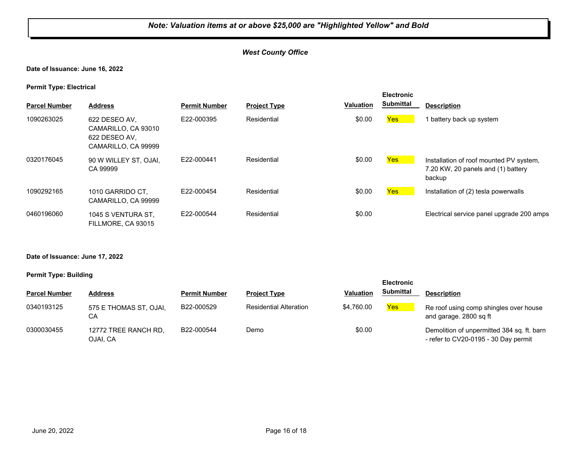#### *West County Office*

#### **Date of Issuance: June 16, 2022**

#### **Permit Type: Electrical**

| <b>Parcel Number</b> | <b>Address</b>                                                               | <b>Permit Number</b> | <b>Project Type</b> | <b>Valuation</b> | <b>Electronic</b><br><b>Submittal</b> | <b>Description</b>                                                                      |
|----------------------|------------------------------------------------------------------------------|----------------------|---------------------|------------------|---------------------------------------|-----------------------------------------------------------------------------------------|
| 1090263025           | 622 DESEO AV,<br>CAMARILLO, CA 93010<br>622 DESEO AV.<br>CAMARILLO, CA 99999 | E22-000395           | Residential         | \$0.00           | Yes                                   | 1 battery back up system                                                                |
| 0320176045           | 90 W WILLEY ST. OJAI.<br>CA 99999                                            | E22-000441           | Residential         | \$0.00           | Yes                                   | Installation of roof mounted PV system,<br>7.20 KW, 20 panels and (1) battery<br>backup |
| 1090292165           | 1010 GARRIDO CT.<br>CAMARILLO, CA 99999                                      | E22-000454           | Residential         | \$0.00           | Yes                                   | Installation of (2) tesla powerwalls                                                    |
| 0460196060           | 1045 S VENTURA ST,<br>FILLMORE, CA 93015                                     | E22-000544           | Residential         | \$0.00           |                                       | Electrical service panel upgrade 200 amps                                               |

#### **Date of Issuance: June 17, 2022**

|                      |                                  |                      |                               |                  | <b>Electronic</b> |                                                                                      |
|----------------------|----------------------------------|----------------------|-------------------------------|------------------|-------------------|--------------------------------------------------------------------------------------|
| <b>Parcel Number</b> | Address                          | <b>Permit Number</b> | <b>Project Type</b>           | <b>Valuation</b> | <b>Submittal</b>  | <b>Description</b>                                                                   |
| 0340193125           | 575 E THOMAS ST, OJAI,<br>CA     | B22-000529           | <b>Residential Alteration</b> | \$4.760.00       | <b>Yes</b>        | Re roof using comp shingles over house<br>and garage. 2800 sq ft                     |
| 0300030455           | 12772 TREE RANCH RD,<br>OJAI, CA | B22-000544           | Demo                          | \$0.00           |                   | Demolition of unpermitted 384 sq. ft. barn<br>- refer to $CV20-0195 - 30$ Day permit |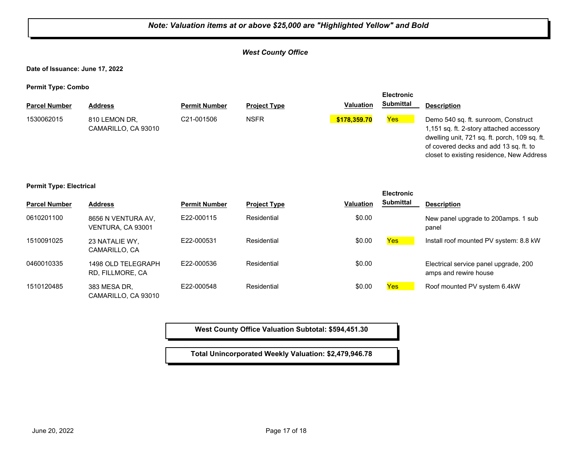#### *West County Office*

**Date of Issuance: June 17, 2022**

**Permit Type: Combo**

| - -                  |                                      |                         |                     |                  | <b>Electronic</b> |                                                                                                                                                                                                                         |
|----------------------|--------------------------------------|-------------------------|---------------------|------------------|-------------------|-------------------------------------------------------------------------------------------------------------------------------------------------------------------------------------------------------------------------|
| <b>Parcel Number</b> | <b>Address</b>                       | <b>Permit Number</b>    | <b>Project Type</b> | <b>Valuation</b> | <b>Submittal</b>  | <b>Description</b>                                                                                                                                                                                                      |
| 1530062015           | 810 LEMON DR.<br>CAMARILLO, CA 93010 | C <sub>21</sub> -001506 | <b>NSFR</b>         | \$178,359,70     | <b>Yes</b>        | Demo 540 sq. ft. sunroom, Construct<br>1,151 sq. ft. 2-story attached accessory<br>dwelling unit, 721 sq. ft. porch, 109 sq. ft.<br>of covered decks and add 13 sq. ft. to<br>closet to existing residence, New Address |

#### **Permit Type: Electrical**

|                      |                                         |                      |                     |           | <b>Electronic</b> |                                                                |
|----------------------|-----------------------------------------|----------------------|---------------------|-----------|-------------------|----------------------------------------------------------------|
| <b>Parcel Number</b> | <b>Address</b>                          | <b>Permit Number</b> | <b>Project Type</b> | Valuation | <b>Submittal</b>  | <b>Description</b>                                             |
| 0610201100           | 8656 N VENTURA AV,<br>VENTURA, CA 93001 | E22-000115           | Residential         | \$0.00    |                   | New panel upgrade to 200 amps. 1 sub<br>panel                  |
| 1510091025           | 23 NATALIE WY.<br>CAMARILLO, CA         | E22-000531           | Residential         | \$0.00    | <b>Yes</b>        | Install roof mounted PV system: 8.8 kW                         |
| 0460010335           | 1498 OLD TELEGRAPH<br>RD, FILLMORE, CA  | E22-000536           | Residential         | \$0.00    |                   | Electrical service panel upgrade, 200<br>amps and rewire house |
| 1510120485           | 383 MESA DR,<br>CAMARILLO, CA 93010     | E22-000548           | Residential         | \$0.00    | <b>Yes</b>        | Roof mounted PV system 6.4kW                                   |

**West County Office Valuation Subtotal: \$594,451.30**

**Total Unincorporated Weekly Valuation: \$2,479,946.78**